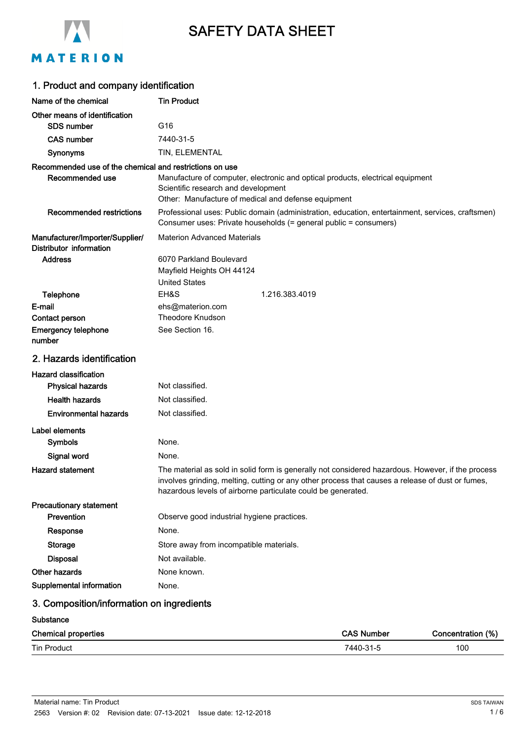

# SAFETY DATA SHEET

# MATERION

| 1. Product and company identification                      |                                                                                                                                                                                                                                                                       |  |  |
|------------------------------------------------------------|-----------------------------------------------------------------------------------------------------------------------------------------------------------------------------------------------------------------------------------------------------------------------|--|--|
| Name of the chemical                                       | <b>Tin Product</b>                                                                                                                                                                                                                                                    |  |  |
| Other means of identification                              |                                                                                                                                                                                                                                                                       |  |  |
| <b>SDS number</b>                                          | G16                                                                                                                                                                                                                                                                   |  |  |
| <b>CAS number</b>                                          | 7440-31-5                                                                                                                                                                                                                                                             |  |  |
| Synonyms                                                   | TIN, ELEMENTAL                                                                                                                                                                                                                                                        |  |  |
| Recommended use of the chemical and restrictions on use    |                                                                                                                                                                                                                                                                       |  |  |
| Recommended use                                            | Manufacture of computer, electronic and optical products, electrical equipment<br>Scientific research and development<br>Other: Manufacture of medical and defense equipment                                                                                          |  |  |
| <b>Recommended restrictions</b>                            | Professional uses: Public domain (administration, education, entertainment, services, craftsmen)<br>Consumer uses: Private households (= general public = consumers)                                                                                                  |  |  |
| Manufacturer/Importer/Supplier/<br>Distributor information | <b>Materion Advanced Materials</b>                                                                                                                                                                                                                                    |  |  |
| <b>Address</b>                                             | 6070 Parkland Boulevard                                                                                                                                                                                                                                               |  |  |
|                                                            | Mayfield Heights OH 44124                                                                                                                                                                                                                                             |  |  |
|                                                            | <b>United States</b>                                                                                                                                                                                                                                                  |  |  |
| Telephone                                                  | EH&S<br>1.216.383.4019                                                                                                                                                                                                                                                |  |  |
| E-mail<br>Contact person                                   | ehs@materion.com<br>Theodore Knudson                                                                                                                                                                                                                                  |  |  |
| <b>Emergency telephone</b>                                 | See Section 16.                                                                                                                                                                                                                                                       |  |  |
| number                                                     |                                                                                                                                                                                                                                                                       |  |  |
| 2. Hazards identification                                  |                                                                                                                                                                                                                                                                       |  |  |
| <b>Hazard classification</b>                               |                                                                                                                                                                                                                                                                       |  |  |
| <b>Physical hazards</b>                                    | Not classified.                                                                                                                                                                                                                                                       |  |  |
| <b>Health hazards</b>                                      | Not classified.                                                                                                                                                                                                                                                       |  |  |
| <b>Environmental hazards</b>                               | Not classified.                                                                                                                                                                                                                                                       |  |  |
| Label elements                                             |                                                                                                                                                                                                                                                                       |  |  |
| Symbols                                                    | None.                                                                                                                                                                                                                                                                 |  |  |
| Signal word                                                | None.                                                                                                                                                                                                                                                                 |  |  |
| <b>Hazard statement</b>                                    | The material as sold in solid form is generally not considered hazardous. However, if the process<br>involves grinding, melting, cutting or any other process that causes a release of dust or fumes,<br>hazardous levels of airborne particulate could be generated. |  |  |
| Precautionary statement                                    |                                                                                                                                                                                                                                                                       |  |  |
| Prevention                                                 | Observe good industrial hygiene practices.                                                                                                                                                                                                                            |  |  |
| Response                                                   | None.                                                                                                                                                                                                                                                                 |  |  |
| Storage                                                    | Store away from incompatible materials.                                                                                                                                                                                                                               |  |  |
| <b>Disposal</b>                                            | Not available.                                                                                                                                                                                                                                                        |  |  |
| <b>Other hazards</b>                                       | None known.                                                                                                                                                                                                                                                           |  |  |
| Supplemental information                                   | None.                                                                                                                                                                                                                                                                 |  |  |
| 3. Composition/information on ingredients                  |                                                                                                                                                                                                                                                                       |  |  |

#### **Substance**

| <b>Chemical properties</b> | <b>CAS Number</b> | (%<br>Concentration |
|----------------------------|-------------------|---------------------|
| <b>Tin Product</b>         | 7440-31           | 100                 |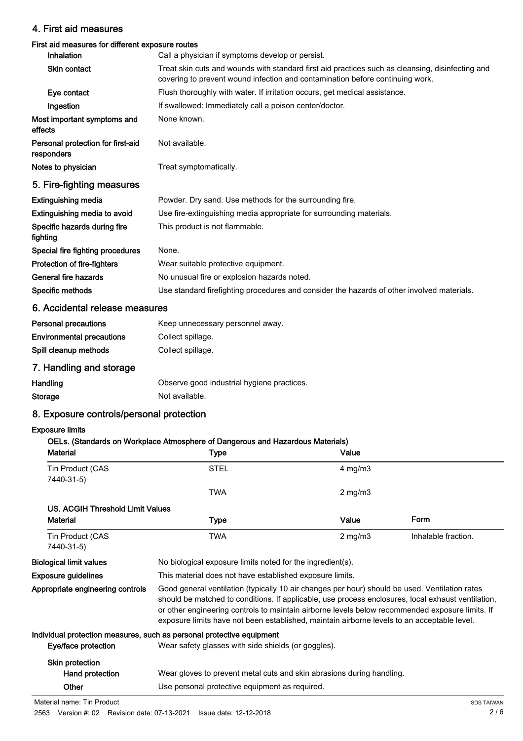## 4. First aid measures

### First aid measures for different exposure routes

| <b>Inhalation</b>                               | Call a physician if symptoms develop or persist.                                                                                                                                  |
|-------------------------------------------------|-----------------------------------------------------------------------------------------------------------------------------------------------------------------------------------|
| Skin contact                                    | Treat skin cuts and wounds with standard first aid practices such as cleansing, disinfecting and<br>covering to prevent wound infection and contamination before continuing work. |
| Eye contact                                     | Flush thoroughly with water. If irritation occurs, get medical assistance.                                                                                                        |
| Ingestion                                       | If swallowed: Immediately call a poison center/doctor.                                                                                                                            |
| Most important symptoms and<br>effects          | None known.                                                                                                                                                                       |
| Personal protection for first-aid<br>responders | Not available.                                                                                                                                                                    |
| Notes to physician                              | Treat symptomatically.                                                                                                                                                            |
| 5. Fire-fighting measures                       |                                                                                                                                                                                   |
| <b>Extinguishing media</b>                      | Powder. Dry sand. Use methods for the surrounding fire.                                                                                                                           |
| Extinguishing media to avoid                    | Use fire-extinguishing media appropriate for surrounding materials.                                                                                                               |
| Specific hazards during fire<br>fighting        | This product is not flammable.                                                                                                                                                    |
| Special fire fighting procedures                | None.                                                                                                                                                                             |
| Protection of fire-fighters                     | Wear suitable protective equipment.                                                                                                                                               |
| General fire hazards                            | No unusual fire or explosion hazards noted.                                                                                                                                       |
| Specific methods                                | Use standard firefighting procedures and consider the hazards of other involved materials.                                                                                        |

## 6. Accidental release measures

| <b>Personal precautions</b>      | Keep unnecessary personnel away. |
|----------------------------------|----------------------------------|
| <b>Environmental precautions</b> | Collect spillage.                |
| Spill cleanup methods            | Collect spillage.                |

# 7. Handling and storage

| Handling | Observe good industrial hygiene practices. |
|----------|--------------------------------------------|
| Storage  | Not available.                             |

# 8. Exposure controls/personal protection

## Exposure limits

### OELs. (Standards on Workplace Atmosphere of Dangerous and Hazardous Materials)

| <b>Material</b>                  | <b>Type</b>                                                                                                                                                                                                                                                                                                                                                                                            | Value        |                     |
|----------------------------------|--------------------------------------------------------------------------------------------------------------------------------------------------------------------------------------------------------------------------------------------------------------------------------------------------------------------------------------------------------------------------------------------------------|--------------|---------------------|
| Tin Product (CAS<br>7440-31-5)   | <b>STEL</b>                                                                                                                                                                                                                                                                                                                                                                                            | $4$ mg/m $3$ |                     |
|                                  | <b>TWA</b>                                                                                                                                                                                                                                                                                                                                                                                             | $2$ mg/m $3$ |                     |
| US. ACGIH Threshold Limit Values |                                                                                                                                                                                                                                                                                                                                                                                                        |              |                     |
| <b>Material</b>                  | <b>Type</b>                                                                                                                                                                                                                                                                                                                                                                                            | Value        | Form                |
| Tin Product (CAS<br>7440-31-5)   | <b>TWA</b>                                                                                                                                                                                                                                                                                                                                                                                             | $2$ mg/m $3$ | Inhalable fraction. |
| <b>Biological limit values</b>   | No biological exposure limits noted for the ingredient(s).                                                                                                                                                                                                                                                                                                                                             |              |                     |
| <b>Exposure guidelines</b>       | This material does not have established exposure limits.                                                                                                                                                                                                                                                                                                                                               |              |                     |
| Appropriate engineering controls | Good general ventilation (typically 10 air changes per hour) should be used. Ventilation rates<br>should be matched to conditions. If applicable, use process enclosures, local exhaust ventilation,<br>or other engineering controls to maintain airborne levels below recommended exposure limits. If<br>exposure limits have not been established, maintain airborne levels to an acceptable level. |              |                     |
|                                  | Individual protection measures, such as personal protective equipment                                                                                                                                                                                                                                                                                                                                  |              |                     |
| Eye/face protection              | Wear safety glasses with side shields (or goggles).                                                                                                                                                                                                                                                                                                                                                    |              |                     |
| Skin protection                  |                                                                                                                                                                                                                                                                                                                                                                                                        |              |                     |
| Hand protection                  | Wear gloves to prevent metal cuts and skin abrasions during handling.                                                                                                                                                                                                                                                                                                                                  |              |                     |
| Other                            | Use personal protective equipment as required.                                                                                                                                                                                                                                                                                                                                                         |              |                     |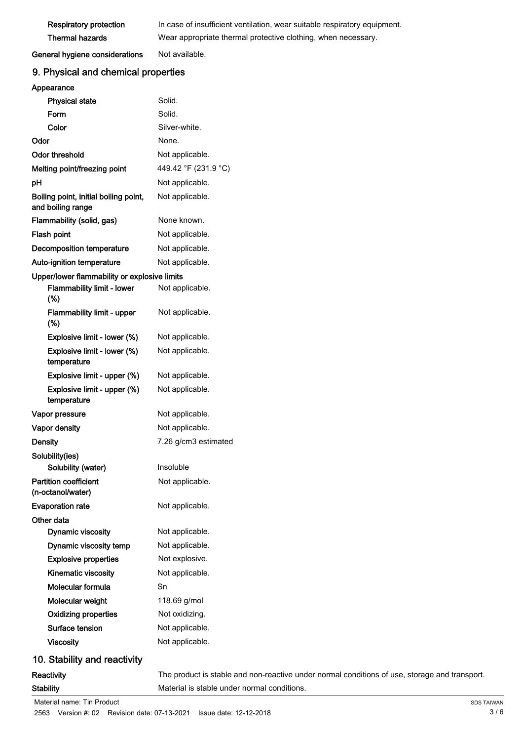| <b>Respiratory protection</b> | In case of insufficient ventilation, wear suitable respiratory equipment. |
|-------------------------------|---------------------------------------------------------------------------|
| Thermal hazards               | Wear appropriate thermal protective clothing, when necessary.             |

General hygiene considerations Not available.

## 9. Physical and chemical properties

| Appearance                                                 |                                                                                               |
|------------------------------------------------------------|-----------------------------------------------------------------------------------------------|
| <b>Physical state</b>                                      | Solid.                                                                                        |
| Form                                                       | Solid.                                                                                        |
| Color                                                      | Silver-white.                                                                                 |
| Odor                                                       | None.                                                                                         |
| <b>Odor threshold</b>                                      | Not applicable.                                                                               |
| Melting point/freezing point                               | 449.42 °F (231.9 °C)                                                                          |
| pH                                                         | Not applicable.                                                                               |
| Boiling point, initial boiling point,<br>and boiling range | Not applicable.                                                                               |
| Flammability (solid, gas)                                  | None known.                                                                                   |
| Flash point                                                | Not applicable.                                                                               |
| <b>Decomposition temperature</b>                           | Not applicable.                                                                               |
| Auto-ignition temperature                                  | Not applicable.                                                                               |
| Upper/lower flammability or explosive limits               |                                                                                               |
| Flammability limit - lower<br>(%)                          | Not applicable.                                                                               |
| Flammability limit - upper<br>(%)                          | Not applicable.                                                                               |
| Explosive limit - lower (%)                                | Not applicable.                                                                               |
| Explosive limit - lower (%)<br>temperature                 | Not applicable.                                                                               |
| Explosive limit - upper (%)                                | Not applicable.                                                                               |
| Explosive limit - upper (%)<br>temperature                 | Not applicable.                                                                               |
| Vapor pressure                                             | Not applicable.                                                                               |
| Vapor density                                              | Not applicable.                                                                               |
| <b>Density</b>                                             | 7.26 g/cm3 estimated                                                                          |
| Solubility(ies)                                            |                                                                                               |
| Solubility (water)                                         | Insoluble                                                                                     |
| <b>Partition coefficient</b>                               | Not applicable.                                                                               |
| (n-octanol/water)                                          |                                                                                               |
| <b>Evaporation rate</b>                                    | Not applicable.                                                                               |
| Other data                                                 |                                                                                               |
| <b>Dynamic viscosity</b>                                   | Not applicable.                                                                               |
| Dynamic viscosity temp                                     | Not applicable.                                                                               |
| <b>Explosive properties</b>                                | Not explosive.                                                                                |
| Kinematic viscosity                                        | Not applicable.                                                                               |
| Molecular formula                                          | Sn                                                                                            |
| Molecular weight                                           | 118.69 g/mol                                                                                  |
| <b>Oxidizing properties</b>                                | Not oxidizing.                                                                                |
| Surface tension                                            | Not applicable.                                                                               |
| <b>Viscosity</b>                                           | Not applicable.                                                                               |
| 10. Stability and reactivity                               |                                                                                               |
| Reactivity                                                 | The product is stable and non-reactive under normal conditions of use, storage and transport. |
| <b>Stability</b>                                           | Material is stable under normal conditions.                                                   |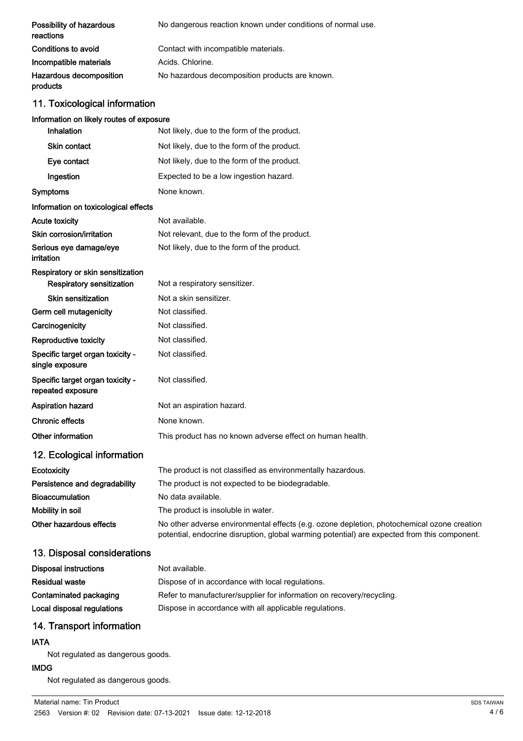| Possibility of hazardous<br>reactions | No dangerous reaction known under conditions of normal use. |
|---------------------------------------|-------------------------------------------------------------|
| Conditions to avoid                   | Contact with incompatible materials.                        |
| Incompatible materials                | Acids, Chlorine.                                            |
| Hazardous decomposition<br>products   | No hazardous decomposition products are known.              |

# 11. Toxicological information

## Information on likely routes of exposure

| Inhalation                                                     | Not likely, due to the form of the product.                                                                                                                                                |
|----------------------------------------------------------------|--------------------------------------------------------------------------------------------------------------------------------------------------------------------------------------------|
| <b>Skin contact</b>                                            | Not likely, due to the form of the product.                                                                                                                                                |
| Eye contact                                                    | Not likely, due to the form of the product.                                                                                                                                                |
| Ingestion                                                      | Expected to be a low ingestion hazard.                                                                                                                                                     |
| Symptoms                                                       | None known.                                                                                                                                                                                |
| Information on toxicological effects                           |                                                                                                                                                                                            |
| Acute toxicity                                                 | Not available.                                                                                                                                                                             |
| Skin corrosion/irritation                                      | Not relevant, due to the form of the product.                                                                                                                                              |
| Serious eye damage/eye<br>irritation                           | Not likely, due to the form of the product.                                                                                                                                                |
| Respiratory or skin sensitization<br>Respiratory sensitization | Not a respiratory sensitizer.                                                                                                                                                              |
| <b>Skin sensitization</b>                                      | Not a skin sensitizer.                                                                                                                                                                     |
| Germ cell mutagenicity                                         | Not classified.                                                                                                                                                                            |
| Carcinogenicity                                                | Not classified.                                                                                                                                                                            |
| Reproductive toxicity                                          | Not classified.                                                                                                                                                                            |
| Specific target organ toxicity -<br>single exposure            | Not classified.                                                                                                                                                                            |
| Specific target organ toxicity -<br>repeated exposure          | Not classified.                                                                                                                                                                            |
| <b>Aspiration hazard</b>                                       | Not an aspiration hazard.                                                                                                                                                                  |
| <b>Chronic effects</b>                                         | None known.                                                                                                                                                                                |
| Other information                                              | This product has no known adverse effect on human health.                                                                                                                                  |
| 12. Ecological information                                     |                                                                                                                                                                                            |
| Ecotoxicity                                                    | The product is not classified as environmentally hazardous.                                                                                                                                |
| Persistence and degradability                                  | The product is not expected to be biodegradable.                                                                                                                                           |
| <b>Bioaccumulation</b>                                         | No data available.                                                                                                                                                                         |
| Mobility in soil                                               | The product is insoluble in water.                                                                                                                                                         |
| Other hazardous effects                                        | No other adverse environmental effects (e.g. ozone depletion, photochemical ozone creation<br>potential, endocrine disruption, global warming potential) are expected from this component. |
| 13. Disposal considerations                                    |                                                                                                                                                                                            |
|                                                                |                                                                                                                                                                                            |

| Disposal instructions      | Not available.                                                        |
|----------------------------|-----------------------------------------------------------------------|
| <b>Residual waste</b>      | Dispose of in accordance with local regulations.                      |
| Contaminated packaging     | Refer to manufacturer/supplier for information on recovery/recycling. |
| Local disposal regulations | Dispose in accordance with all applicable regulations.                |

## 14. Transport information

# IATA

Not regulated as dangerous goods.

## IMDG

Not regulated as dangerous goods.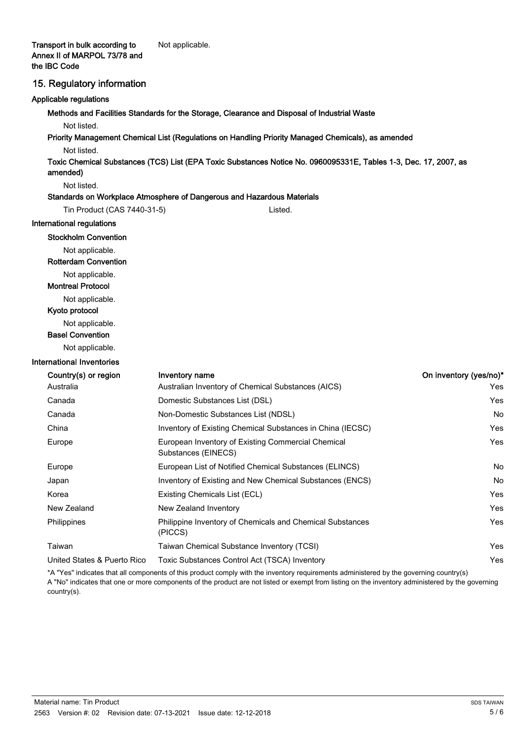#### 15. Regulatory information

#### Applicable regulations

Methods and Facilities Standards for the Storage, Clearance and Disposal of Industrial Waste

Not listed.

Priority Management Chemical List (Regulations on Handling Priority Managed Chemicals), as amended

Not listed.

Toxic Chemical Substances (TCS) List (EPA Toxic Substances Notice No. 0960095331E, Tables 1-3, Dec. 17, 2007, as amended)

#### Not listed.

#### Standards on Workplace Atmosphere of Dangerous and Hazardous Materials

| Tin Product (CAS 7440-31-5) | Listed. |
|-----------------------------|---------|
|                             |         |

International regulations

#### Stockholm Convention

Not applicable.

Rotterdam Convention

Not applicable.

Montreal Protocol

Not applicable.

Kyoto protocol

Not applicable.

Basel Convention

Not applicable.

#### International Inventories

| Country(s) or region        | Inventory name                                                              | On inventory (yes/no)* |
|-----------------------------|-----------------------------------------------------------------------------|------------------------|
| Australia                   | Australian Inventory of Chemical Substances (AICS)                          | Yes                    |
| Canada                      | Domestic Substances List (DSL)                                              | Yes                    |
| Canada                      | Non-Domestic Substances List (NDSL)                                         | No                     |
| China                       | Inventory of Existing Chemical Substances in China (IECSC)                  | Yes                    |
| Europe                      | European Inventory of Existing Commercial Chemical<br>Substances (EINECS)   | Yes                    |
| Europe                      | European List of Notified Chemical Substances (ELINCS)                      | No                     |
| Japan                       | Inventory of Existing and New Chemical Substances (ENCS)                    | No                     |
| Korea                       | Existing Chemicals List (ECL)                                               | Yes                    |
| New Zealand                 | New Zealand Inventory                                                       | Yes                    |
| <b>Philippines</b>          | <b>Philippine Inventory of Chemicals and Chemical Substances</b><br>(PICCS) | Yes                    |
| Taiwan                      | Taiwan Chemical Substance Inventory (TCSI)                                  | Yes                    |
| United States & Puerto Rico | Toxic Substances Control Act (TSCA) Inventory                               | Yes                    |

\*A "Yes" indicates that all components of this product comply with the inventory requirements administered by the governing country(s) A "No" indicates that one or more components of the product are not listed or exempt from listing on the inventory administered by the governing country(s).